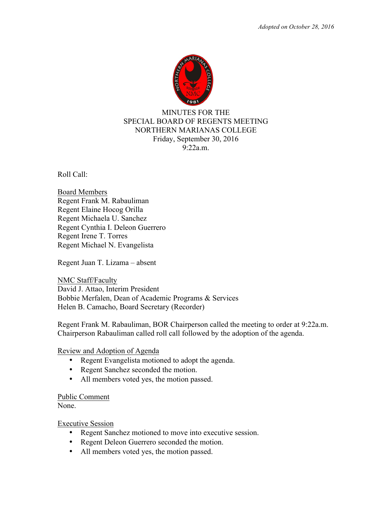

## MINUTES FOR THE SPECIAL BOARD OF REGENTS MEETING NORTHERN MARIANAS COLLEGE Friday, September 30, 2016 9:22a.m.

Roll Call:

Board Members Regent Frank M. Rabauliman Regent Elaine Hocog Orilla Regent Michaela U. Sanchez Regent Cynthia I. Deleon Guerrero Regent Irene T. Torres Regent Michael N. Evangelista

Regent Juan T. Lizama – absent

NMC Staff/Faculty David J. Attao, Interim President Bobbie Merfalen, Dean of Academic Programs & Services Helen B. Camacho, Board Secretary (Recorder)

Regent Frank M. Rabauliman, BOR Chairperson called the meeting to order at 9:22a.m. Chairperson Rabauliman called roll call followed by the adoption of the agenda.

## Review and Adoption of Agenda

- Regent Evangelista motioned to adopt the agenda.
- Regent Sanchez seconded the motion.
- All members voted yes, the motion passed.

## Public Comment

None.

Executive Session

- Regent Sanchez motioned to move into executive session.
- Regent Deleon Guerrero seconded the motion.
- All members voted yes, the motion passed.